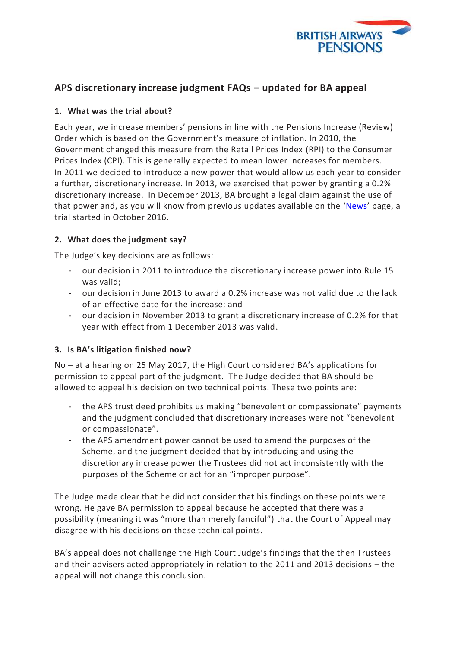

# **APS discretionary increase judgment FAQs – updated for BA appeal**

#### **1. What was the trial about?**

Each year, we increase members' pensions in line with the Pensions Increase (Review) Order which is based on the Government's measure of inflation. In 2010, the Government changed this measure from the Retail Prices Index (RPI) to the Consumer Prices Index (CPI). This is generally expected to mean lower increases for members. In 2011 we decided to introduce a new power that would allow us each year to consider a further, discretionary increase. In 2013, we exercised that power by granting a 0.2% discretionary increase. In December 2013, BA brought a legal claim against the use of that power and, as you will know from previous updates available on the '[News](https://www.mybapension.com/aps/news/other-news)' page, a trial started in October 2016.

## **2. What does the judgment say?**

The Judge's key decisions are as follows:

- our decision in 2011 to introduce the discretionary increase power into Rule 15 was valid;
- our decision in June 2013 to award a 0.2% increase was not valid due to the lack of an effective date for the increase; and
- our decision in November 2013 to grant a discretionary increase of 0.2% for that year with effect from 1 December 2013 was valid.

#### **3. Is BA's litigation finished now?**

No – at a hearing on 25 May 2017, the High Court considered BA's applications for permission to appeal part of the judgment. The Judge decided that BA should be allowed to appeal his decision on two technical points. These two points are:

- the APS trust deed prohibits us making "benevolent or compassionate" payments and the judgment concluded that discretionary increases were not "benevolent or compassionate".
- the APS amendment power cannot be used to amend the purposes of the Scheme, and the judgment decided that by introducing and using the discretionary increase power the Trustees did not act inconsistently with the purposes of the Scheme or act for an "improper purpose".

The Judge made clear that he did not consider that his findings on these points were wrong. He gave BA permission to appeal because he accepted that there was a possibility (meaning it was "more than merely fanciful") that the Court of Appeal may disagree with his decisions on these technical points.

BA's appeal does not challenge the High Court Judge's findings that the then Trustees and their advisers acted appropriately in relation to the 2011 and 2013 decisions – the appeal will not change this conclusion.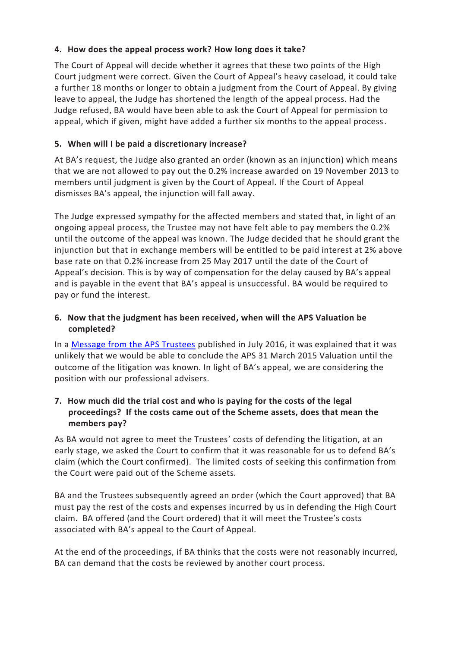## **4. How does the appeal process work? How long does it take?**

The Court of Appeal will decide whether it agrees that these two points of the High Court judgment were correct. Given the Court of Appeal's heavy caseload, it could take a further 18 months or longer to obtain a judgment from the Court of Appeal. By giving leave to appeal, the Judge has shortened the length of the appeal process. Had the Judge refused, BA would have been able to ask the Court of Appeal for permission to appeal, which if given, might have added a further six months to the appeal process.

## **5. When will I be paid a discretionary increase?**

At BA's request, the Judge also granted an order (known as an injunction) which means that we are not allowed to pay out the 0.2% increase awarded on 19 November 2013 to members until judgment is given by the Court of Appeal. If the Court of Appeal dismisses BA's appeal, the injunction will fall away.

The Judge expressed sympathy for the affected members and stated that, in light of an ongoing appeal process, the Trustee may not have felt able to pay members the 0.2% until the outcome of the appeal was known. The Judge decided that he should grant the injunction but that in exchange members will be entitled to be paid interest at 2% above base rate on that 0.2% increase from 25 May 2017 until the date of the Court of Appeal's decision. This is by way of compensation for the delay caused by BA's appeal and is payable in the event that BA's appeal is unsuccessful. BA would be required to pay or fund the interest.

#### **6. Now that the judgment has been received, when will the APS Valuation be completed?**

In a [Message from the APS Trustees](https://www.mybapension.com/resources/news/aps_funding_valuation_31_march_2015.pdf) published in July 2016, it was explained that it was unlikely that we would be able to conclude the APS 31 March 2015 Valuation until the outcome of the litigation was known. In light of BA's appeal, we are considering the position with our professional advisers.

## **7. How much did the trial cost and who is paying for the costs of the legal proceedings? If the costs came out of the Scheme assets, does that mean the members pay?**

As BA would not agree to meet the Trustees' costs of defending the litigation, at an early stage, we asked the Court to confirm that it was reasonable for us to defend BA's claim (which the Court confirmed). The limited costs of seeking this confirmation from the Court were paid out of the Scheme assets.

BA and the Trustees subsequently agreed an order (which the Court approved) that BA must pay the rest of the costs and expenses incurred by us in defending the High Court claim. BA offered (and the Court ordered) that it will meet the Trustee's costs associated with BA's appeal to the Court of Appeal.

At the end of the proceedings, if BA thinks that the costs were not reasonably incurred, BA can demand that the costs be reviewed by another court process.